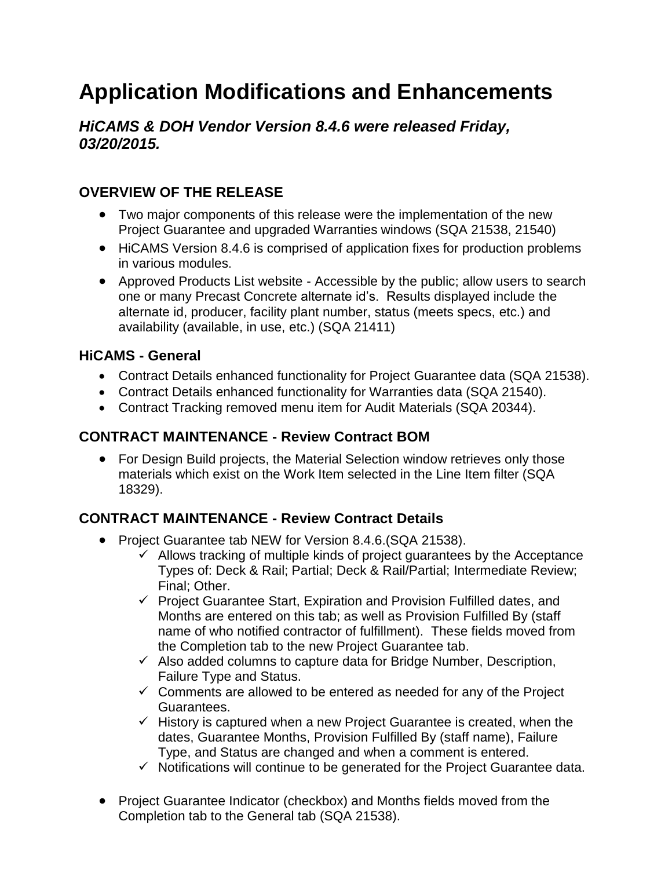# **Application Modifications and Enhancements**

*HiCAMS & DOH Vendor Version 8.4.6 were released Friday, 03/20/2015.* 

# **OVERVIEW OF THE RELEASE**

- Two major components of this release were the implementation of the new Project Guarantee and upgraded Warranties windows (SQA 21538, 21540)
- HiCAMS Version 8.4.6 is comprised of application fixes for production problems in various modules.
- Approved Products List website Accessible by the public; allow users to search one or many Precast Concrete alternate id's. Results displayed include the alternate id, producer, facility plant number, status (meets specs, etc.) and availability (available, in use, etc.) (SQA 21411)

#### **HiCAMS - General**

- Contract Details enhanced functionality for Project Guarantee data (SQA 21538).
- Contract Details enhanced functionality for Warranties data (SQA 21540).
- Contract Tracking removed menu item for Audit Materials (SQA 20344).

#### **CONTRACT MAINTENANCE - Review Contract BOM**

 For Design Build projects, the Material Selection window retrieves only those materials which exist on the Work Item selected in the Line Item filter (SQA 18329).

# **CONTRACT MAINTENANCE - Review Contract Details**

- Project Guarantee tab NEW for Version 8.4.6. (SQA 21538).
	- $\checkmark$  Allows tracking of multiple kinds of project guarantees by the Acceptance Types of: Deck & Rail; Partial; Deck & Rail/Partial; Intermediate Review; Final; Other.
	- $\checkmark$  Project Guarantee Start, Expiration and Provision Fulfilled dates, and Months are entered on this tab; as well as Provision Fulfilled By (staff name of who notified contractor of fulfillment). These fields moved from the Completion tab to the new Project Guarantee tab.
	- $\checkmark$  Also added columns to capture data for Bridge Number, Description, Failure Type and Status.
	- $\checkmark$  Comments are allowed to be entered as needed for any of the Project Guarantees.
	- $\checkmark$  History is captured when a new Project Guarantee is created, when the dates, Guarantee Months, Provision Fulfilled By (staff name), Failure Type, and Status are changed and when a comment is entered.
	- $\checkmark$  Notifications will continue to be generated for the Project Guarantee data.
- Project Guarantee Indicator (checkbox) and Months fields moved from the Completion tab to the General tab (SQA 21538).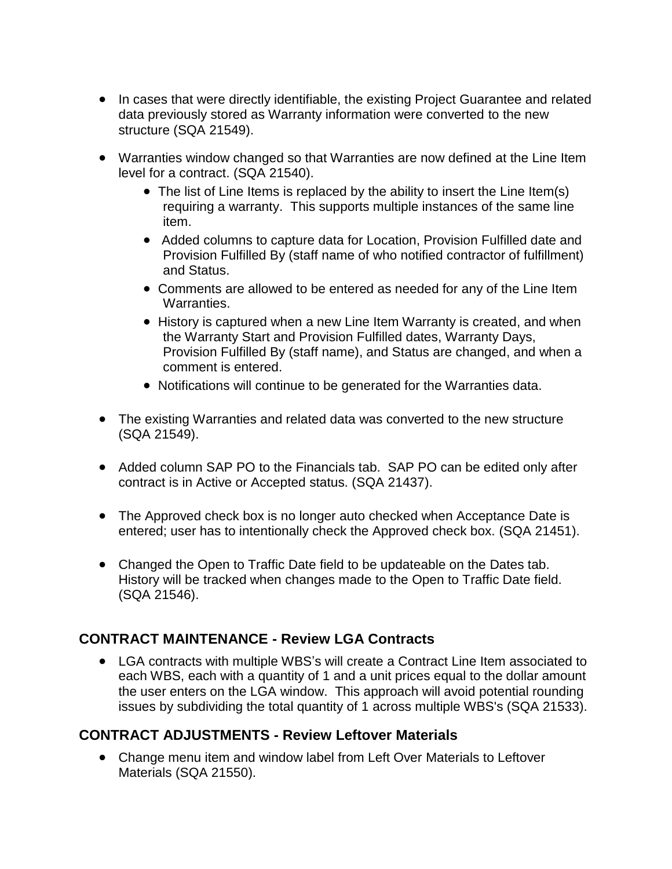- In cases that were directly identifiable, the existing Project Guarantee and related data previously stored as Warranty information were converted to the new structure (SQA 21549).
- Warranties window changed so that Warranties are now defined at the Line Item level for a contract. (SQA 21540).
	- The list of Line Items is replaced by the ability to insert the Line Item(s) requiring a warranty. This supports multiple instances of the same line item.
	- Added columns to capture data for Location, Provision Fulfilled date and Provision Fulfilled By (staff name of who notified contractor of fulfillment) and Status.
	- Comments are allowed to be entered as needed for any of the Line Item Warranties.
	- History is captured when a new Line Item Warranty is created, and when the Warranty Start and Provision Fulfilled dates, Warranty Days, Provision Fulfilled By (staff name), and Status are changed, and when a comment is entered.
	- Notifications will continue to be generated for the Warranties data.
- The existing Warranties and related data was converted to the new structure (SQA 21549).
- Added column SAP PO to the Financials tab. SAP PO can be edited only after contract is in Active or Accepted status. (SQA 21437).
- The Approved check box is no longer auto checked when Acceptance Date is entered; user has to intentionally check the Approved check box. (SQA 21451).
- Changed the Open to Traffic Date field to be updateable on the Dates tab. History will be tracked when changes made to the Open to Traffic Date field. (SQA 21546).

#### **CONTRACT MAINTENANCE - Review LGA Contracts**

 LGA contracts with multiple WBS's will create a Contract Line Item associated to each WBS, each with a quantity of 1 and a unit prices equal to the dollar amount the user enters on the LGA window. This approach will avoid potential rounding issues by subdividing the total quantity of 1 across multiple WBS's (SQA 21533).

#### **CONTRACT ADJUSTMENTS - Review Leftover Materials**

 Change menu item and window label from Left Over Materials to Leftover Materials (SQA 21550).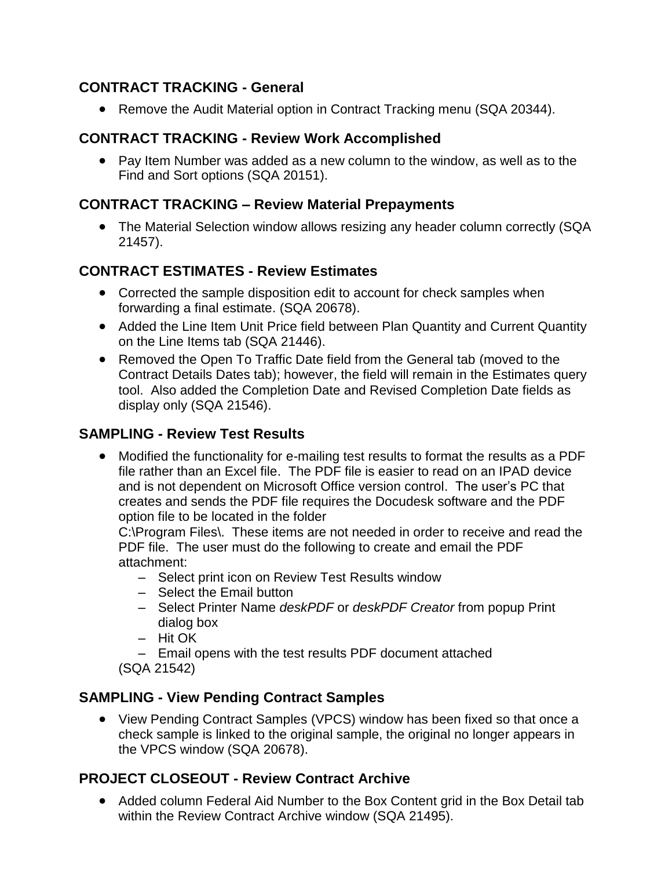## **CONTRACT TRACKING - General**

• Remove the Audit Material option in Contract Tracking menu (SQA 20344).

# **CONTRACT TRACKING - Review Work Accomplished**

• Pay Item Number was added as a new column to the window, as well as to the Find and Sort options (SQA 20151).

#### **CONTRACT TRACKING – Review Material Prepayments**

 The Material Selection window allows resizing any header column correctly (SQA 21457).

# **CONTRACT ESTIMATES - Review Estimates**

- Corrected the sample disposition edit to account for check samples when forwarding a final estimate. (SQA 20678).
- Added the Line Item Unit Price field between Plan Quantity and Current Quantity on the Line Items tab (SQA 21446).
- Removed the Open To Traffic Date field from the General tab (moved to the Contract Details Dates tab); however, the field will remain in the Estimates query tool. Also added the Completion Date and Revised Completion Date fields as display only (SQA 21546).

## **SAMPLING - Review Test Results**

 Modified the functionality for e-mailing test results to format the results as a PDF file rather than an Excel file. The PDF file is easier to read on an IPAD device and is not dependent on Microsoft Office version control. The user's PC that creates and sends the PDF file requires the Docudesk software and the PDF option file to be located in the folder

C:\Program Files\. These items are not needed in order to receive and read the PDF file. The user must do the following to create and email the PDF attachment:

- Select print icon on Review Test Results window
- Select the Email button
- Select Printer Name *deskPDF* or *deskPDF Creator* from popup Print dialog box
- Hit OK
- Email opens with the test results PDF document attached
- (SQA 21542)

#### **SAMPLING - View Pending Contract Samples**

 View Pending Contract Samples (VPCS) window has been fixed so that once a check sample is linked to the original sample, the original no longer appears in the VPCS window (SQA 20678).

#### **PROJECT CLOSEOUT - Review Contract Archive**

 Added column Federal Aid Number to the Box Content grid in the Box Detail tab within the Review Contract Archive window (SQA 21495).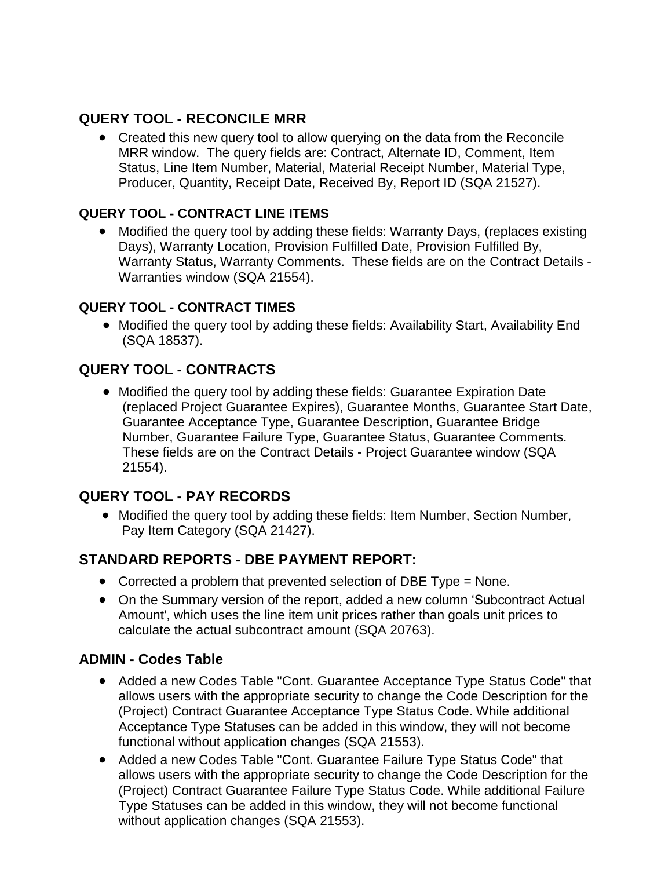## **QUERY TOOL - RECONCILE MRR**

 Created this new query tool to allow querying on the data from the Reconcile MRR window. The query fields are: Contract, Alternate ID, Comment, Item Status, Line Item Number, Material, Material Receipt Number, Material Type, Producer, Quantity, Receipt Date, Received By, Report ID (SQA 21527).

#### **QUERY TOOL - CONTRACT LINE ITEMS**

 Modified the query tool by adding these fields: Warranty Days, (replaces existing Days), Warranty Location, Provision Fulfilled Date, Provision Fulfilled By, Warranty Status, Warranty Comments. These fields are on the Contract Details - Warranties window (SQA 21554).

#### **QUERY TOOL - CONTRACT TIMES**

 Modified the query tool by adding these fields: Availability Start, Availability End (SQA 18537).

# **QUERY TOOL - CONTRACTS**

 Modified the query tool by adding these fields: Guarantee Expiration Date (replaced Project Guarantee Expires), Guarantee Months, Guarantee Start Date, Guarantee Acceptance Type, Guarantee Description, Guarantee Bridge Number, Guarantee Failure Type, Guarantee Status, Guarantee Comments. These fields are on the Contract Details - Project Guarantee window (SQA 21554).

#### **QUERY TOOL - PAY RECORDS**

 Modified the query tool by adding these fields: Item Number, Section Number, Pay Item Category (SQA 21427).

#### **STANDARD REPORTS - DBE PAYMENT REPORT:**

- Corrected a problem that prevented selection of DBE Type = None.
- On the Summary version of the report, added a new column 'Subcontract Actual Amount', which uses the line item unit prices rather than goals unit prices to calculate the actual subcontract amount (SQA 20763).

#### **ADMIN - Codes Table**

- Added a new Codes Table "Cont. Guarantee Acceptance Type Status Code" that allows users with the appropriate security to change the Code Description for the (Project) Contract Guarantee Acceptance Type Status Code. While additional Acceptance Type Statuses can be added in this window, they will not become functional without application changes (SQA 21553).
- Added a new Codes Table "Cont. Guarantee Failure Type Status Code" that allows users with the appropriate security to change the Code Description for the (Project) Contract Guarantee Failure Type Status Code. While additional Failure Type Statuses can be added in this window, they will not become functional without application changes (SQA 21553).